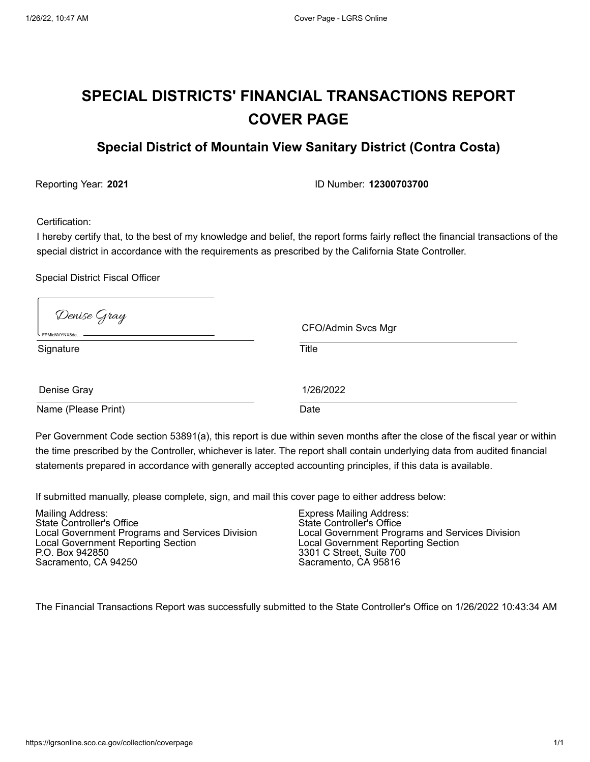# **SPECIAL DISTRICTS' FINANCIAL TRANSACTIONS REPORT COVER PAGE**

# **Special District of Mountain View Sanitary District (Contra Costa)**

Reporting Year: **2021** ID Number: **12300703700**

Certification:

I hereby certify that, to the best of my knowledge and belief, the report forms fairly reflect the financial transactions of the special district in accordance with the requirements as prescribed by the California State Controller.

Special District Fiscal Officer

| Denise Gray<br>FPMicNVYNX8de | CFO/Admin Svcs Mgr |  |
|------------------------------|--------------------|--|
| Signature                    | <b>Title</b>       |  |
| Denise Gray                  | 1/26/2022          |  |
| Name (Please Print)          | Date               |  |

Per Government Code section 53891(a), this report is due within seven months after the close of the fiscal year or within the time prescribed by the Controller, whichever is later. The report shall contain underlying data from audited financial statements prepared in accordance with generally accepted accounting principles, if this data is available.

If submitted manually, please complete, sign, and mail this cover page to either address below:

| Mailing Address:                                | <b>Express Mailing Address:</b>                 |
|-------------------------------------------------|-------------------------------------------------|
| State Controller's Office                       | State Controller's Office                       |
| Local Government Programs and Services Division | Local Government Programs and Services Division |
| Local Government Reporting Section              | Local Government Reporting Section              |
| P.O. Box 942850                                 | 3301 C Street, Suite 700                        |
| Sacramento, CA 94250                            | Sacramento, CA 95816                            |

The Financial Transactions Report was successfully submitted to the State Controller's Office on 1/26/2022 10:43:34 AM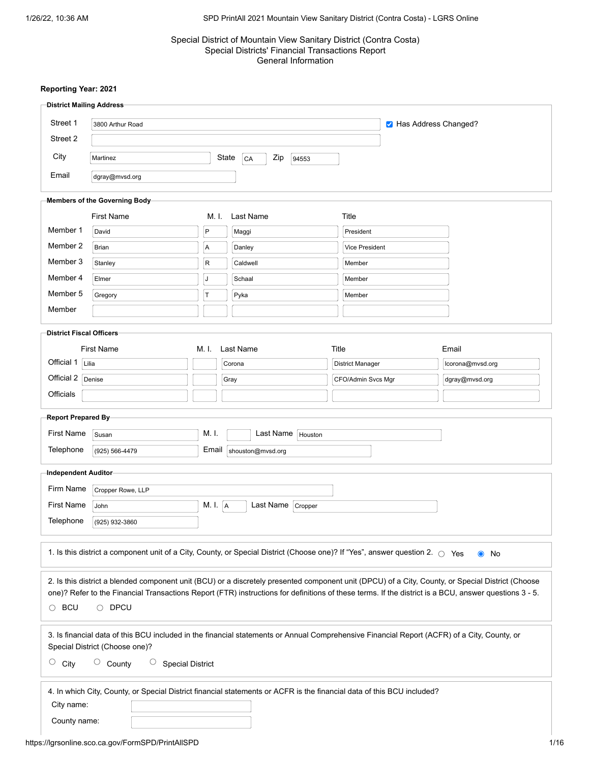# Special District of Mountain View Sanitary District (Contra Costa) Special Districts' Financial Transactions Report General Information

|                                 | <b>District Mailing Address-</b>                                                                                                   |             |                             |                    |                                                                                                                                                       |  |
|---------------------------------|------------------------------------------------------------------------------------------------------------------------------------|-------------|-----------------------------|--------------------|-------------------------------------------------------------------------------------------------------------------------------------------------------|--|
| Street 1                        | 3800 Arthur Road                                                                                                                   |             |                             |                    | M Has Address Changed?                                                                                                                                |  |
| Street 2                        |                                                                                                                                    |             |                             |                    |                                                                                                                                                       |  |
| City                            | Martinez                                                                                                                           |             | State<br>Zip<br>CA<br>94553 |                    |                                                                                                                                                       |  |
| Email                           | dgray@mvsd.org                                                                                                                     |             |                             |                    |                                                                                                                                                       |  |
|                                 | Members of the Governing Body-                                                                                                     |             |                             |                    |                                                                                                                                                       |  |
|                                 | <b>First Name</b>                                                                                                                  | M. I.       | <b>Last Name</b>            | Title              |                                                                                                                                                       |  |
| Member 1                        | David                                                                                                                              | $\mathsf P$ | Maggi                       | President          |                                                                                                                                                       |  |
| Member 2                        | <b>Brian</b>                                                                                                                       | A           | Danley                      | Vice President     |                                                                                                                                                       |  |
| Member 3                        | Stanley                                                                                                                            | ${\sf R}$   | Caldwell                    | Member             |                                                                                                                                                       |  |
| Member 4                        | Elmer                                                                                                                              | J           | Schaal                      | Member             |                                                                                                                                                       |  |
| Member 5                        | Gregory                                                                                                                            | T           | Pyka                        | Member             |                                                                                                                                                       |  |
| Member                          |                                                                                                                                    |             |                             |                    |                                                                                                                                                       |  |
| <b>District Fiscal Officers</b> |                                                                                                                                    |             |                             |                    |                                                                                                                                                       |  |
|                                 | <b>First Name</b>                                                                                                                  | M. I.       | Last Name                   | Title              | Email                                                                                                                                                 |  |
| Official 1                      | Lilia                                                                                                                              |             | Corona                      | District Manager   | lcorona@mvsd.org                                                                                                                                      |  |
| Official 2                      | Denise                                                                                                                             |             | Gray                        | CFO/Admin Svcs Mgr | dgray@mvsd.org                                                                                                                                        |  |
| Officials                       |                                                                                                                                    |             |                             |                    |                                                                                                                                                       |  |
| Report Prepared By-             |                                                                                                                                    |             |                             |                    |                                                                                                                                                       |  |
| <b>First Name</b>               | Susan                                                                                                                              | M. I.       | Last Name   Houston         |                    |                                                                                                                                                       |  |
| Telephone                       | (925) 566-4479                                                                                                                     | Email       | shouston@mvsd.org           |                    |                                                                                                                                                       |  |
| Independent Auditor             |                                                                                                                                    |             |                             |                    |                                                                                                                                                       |  |
| Firm Name                       | Cropper Rowe, LLP                                                                                                                  |             |                             |                    |                                                                                                                                                       |  |
| <b>First Name</b>               | John                                                                                                                               | M. I. A     | Last Name Cropper           |                    |                                                                                                                                                       |  |
| Telephone                       | (925) 932-3860                                                                                                                     |             |                             |                    |                                                                                                                                                       |  |
|                                 |                                                                                                                                    |             |                             |                    |                                                                                                                                                       |  |
|                                 | 1. Is this district a component unit of a City, County, or Special District (Choose one)? If "Yes", answer question 2. $\circ$ Yes |             |                             |                    | $\bullet$ No                                                                                                                                          |  |
|                                 |                                                                                                                                    |             |                             |                    | 2. Is this district a blended component unit (BCU) or a discretely presented component unit (DPCU) of a City, County, or Special District (Choose     |  |
|                                 |                                                                                                                                    |             |                             |                    | one)? Refer to the Financial Transactions Report (FTR) instructions for definitions of these terms. If the district is a BCU, answer questions 3 - 5. |  |
| $\circ$ BCU                     | $\circ$ DPCU                                                                                                                       |             |                             |                    |                                                                                                                                                       |  |
|                                 |                                                                                                                                    |             |                             |                    | 3. Is financial data of this BCU included in the financial statements or Annual Comprehensive Financial Report (ACFR) of a City, County, or           |  |
| $\circ$<br>City                 | Special District (Choose one)?<br>$\circ$ County<br>$\cup$<br><b>Special District</b>                                              |             |                             |                    |                                                                                                                                                       |  |
|                                 | 4. In which City, County, or Special District financial statements or ACFR is the financial data of this BCU included?             |             |                             |                    |                                                                                                                                                       |  |
| City name:                      |                                                                                                                                    |             |                             |                    |                                                                                                                                                       |  |
|                                 | County name:                                                                                                                       |             |                             |                    |                                                                                                                                                       |  |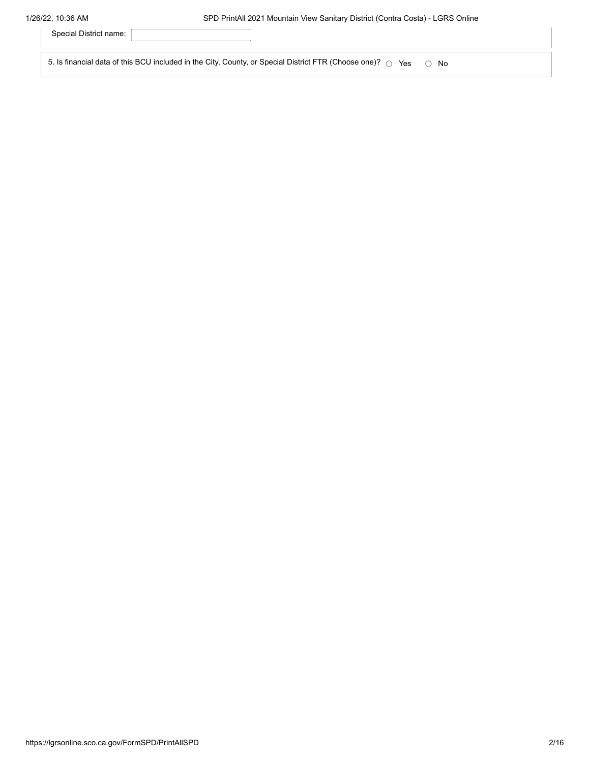| Special District name:                                                                                                      |  |
|-----------------------------------------------------------------------------------------------------------------------------|--|
| 5. Is financial data of this BCU included in the City, County, or Special District FTR (Choose one)? $\circ$ Yes $\circ$ No |  |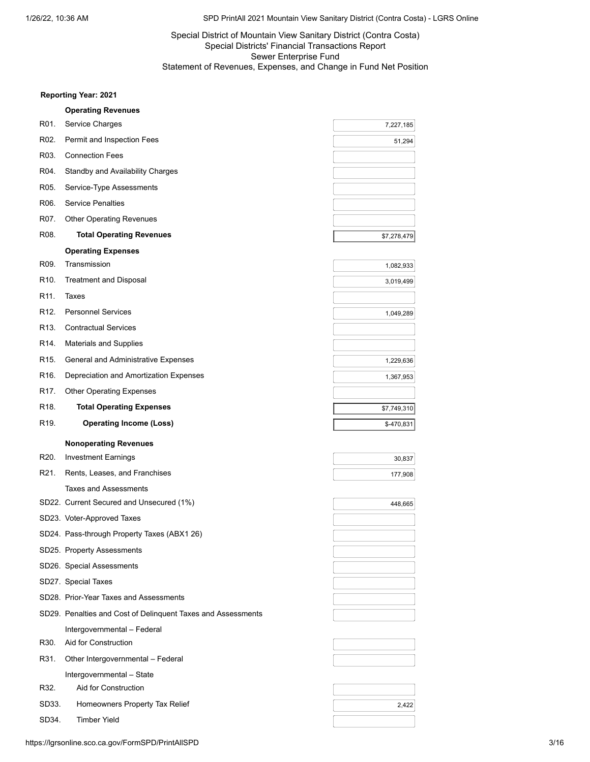# Special District of Mountain View Sanitary District (Contra Costa) Special Districts' Financial Transactions Report Sewer Enterprise Fund Statement of Revenues, Expenses, and Change in Fund Net Position

|                   | <b>Operating Revenues</b>                                    |             |
|-------------------|--------------------------------------------------------------|-------------|
| R01.              | Service Charges                                              | 7,227,185   |
| R02.              | Permit and Inspection Fees                                   | 51,294      |
| R03.              | <b>Connection Fees</b>                                       |             |
| R04.              | <b>Standby and Availability Charges</b>                      |             |
| R05.              | Service-Type Assessments                                     |             |
| R06.              | <b>Service Penalties</b>                                     |             |
| R07.              | <b>Other Operating Revenues</b>                              |             |
| R08.              | <b>Total Operating Revenues</b>                              | \$7,278,479 |
|                   | <b>Operating Expenses</b>                                    |             |
| R09.              | Transmission                                                 | 1,082,933   |
| R10.              | <b>Treatment and Disposal</b>                                | 3,019,499   |
| R11.              | Taxes                                                        |             |
| R <sub>12</sub>   | <b>Personnel Services</b>                                    | 1,049,289   |
| R13.              | <b>Contractual Services</b>                                  |             |
| R14.              | <b>Materials and Supplies</b>                                |             |
| R <sub>15</sub> . | General and Administrative Expenses                          | 1,229,636   |
| R16.              | Depreciation and Amortization Expenses                       | 1,367,953   |
| R17.              | <b>Other Operating Expenses</b>                              |             |
| R <sub>18</sub> . | <b>Total Operating Expenses</b>                              | \$7,749,310 |
| R19.              | <b>Operating Income (Loss)</b>                               | \$-470,831  |
|                   |                                                              |             |
|                   | <b>Nonoperating Revenues</b>                                 |             |
| R20.              | <b>Investment Earnings</b>                                   | 30,837      |
| R21.              | Rents, Leases, and Franchises                                | 177,908     |
|                   | <b>Taxes and Assessments</b>                                 |             |
|                   | SD22. Current Secured and Unsecured (1%)                     | 448,665     |
|                   | SD23. Voter-Approved Taxes                                   |             |
|                   | SD24. Pass-through Property Taxes (ABX1 26)                  |             |
|                   | SD25. Property Assessments                                   |             |
|                   | SD26. Special Assessments                                    |             |
|                   | SD27. Special Taxes                                          |             |
|                   | SD28. Prior-Year Taxes and Assessments                       |             |
|                   | SD29. Penalties and Cost of Delinquent Taxes and Assessments |             |
|                   | Intergovernmental - Federal                                  |             |
| R30.              | Aid for Construction                                         |             |
| R31.              | Other Intergovernmental - Federal                            |             |
|                   | Intergovernmental - State                                    |             |
| R32.              | Aid for Construction                                         |             |
| SD33.             | Homeowners Property Tax Relief                               | 2,422       |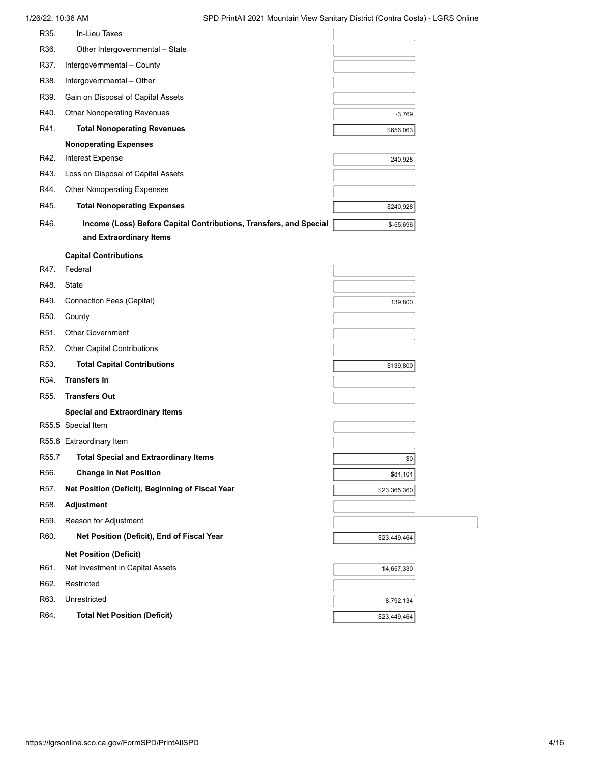# 1/26/22, 10:36 AM SPD PrintAll 2021 Mountain View Sanitary District (Contra Costa) - LGRS Online R35. In-Lieu Taxes R36. Other Intergovernmental – State R37. Intergovernmental – County R38. Intergovernmental – Other R39. Gain on Disposal of Capital Assets R40. Other Nonoperating Revenues R41. **Total Nonoperating Revenues 1996 12:30 12:30 12:30 13:40 14:40 14:40 14:40 15:56**,063 **Nonoperating Expenses** R42. Interest Expense R43. Loss on Disposal of Capital Assets R44. Other Nonoperating Expenses R45. **Total Nonoperating Expenses \$240,928 \$240,928** R46. **Income (Loss) Before Capital Contributions, Transfers, and Special <b>Face 3 and Special** \$-55,696 **and Extraordinary Items Capital Contributions** R47. Federal R48. State R49. Connection Fees (Capital) R50. County R51. Other Government R52. Other Capital Contributions R53. **Total Capital Contributions by the contributions by the contributions by the contributions by the contributions** R54. **Transfers In** R55. **Transfers Out Special and Extraordinary Items** R55.5 Special Item R55.6 Extraordinary Item R55.7 **Total Special and Extraordinary Items 1996 1997 12:00 12:00 12:00 12:00 12:00 12:00 12:00 12:00 12:00 12:00 12:00 12:00 12:00 12:00 12:00 12:00 12:00 12:00 12:00 12:00 12:00 12:00 12:00 12:00 12:00 12:00 12:00 1** R56. **Change in Net Position Change in Net Position Change in Net Position Change in Net Position** R57. **Net Position (Deficit), Beginning of Fiscal Year 1988 1999 1999 1999 1999 1999 1999 1999 1999 1999 1999 1999 1999 1999 1999 1999 1999 1999 1999 1999 1999 1999 1999 1999** R58. **Adjustment** R59. Reason for Adjustment R60. **Net Position (Deficit), End of Fiscal Year Network 1 2008 10:30:449,464 Net Position (Deficit)** R61. Net Investment in Capital Assets R62. Restricted R63. Unrestricted R64. **Total Net Position (Deficit) 12.2.3.449,464** -3,769 240,928 139,800 14,657,330 8,792,134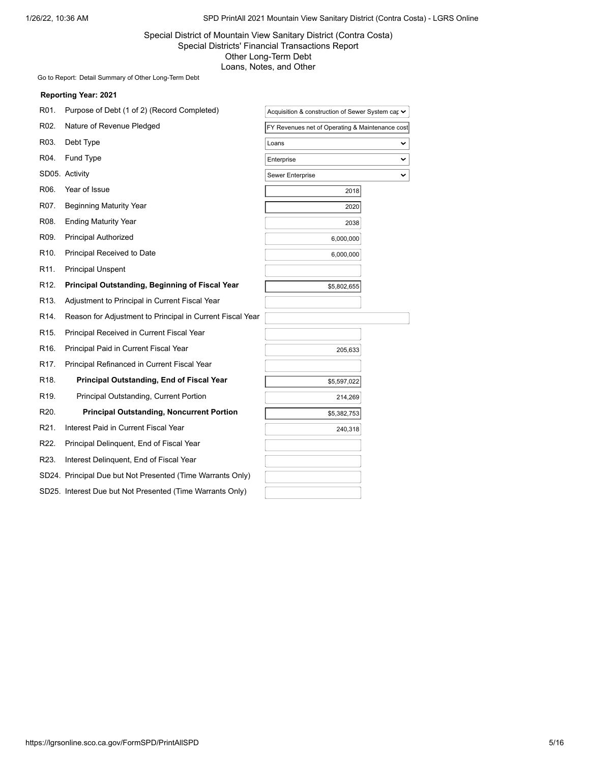# Special District of Mountain View Sanitary District (Contra Costa) Special Districts' Financial Transactions Report Other Long-Term Debt Loans, Notes, and Other

Go to Report: [Detail Summary of Other Long-Term Debt](https://lgrsonline.sco.ca.gov/FormSPD/OtherLongTermDebtDetailSummary)

| R01.              | Purpose of Debt (1 of 2) (Record Completed)                | Acquisition & construction of Sewer System car ▼ |              |
|-------------------|------------------------------------------------------------|--------------------------------------------------|--------------|
| R02.              | Nature of Revenue Pledged                                  | FY Revenues net of Operating & Maintenance cost  |              |
| R03.              | Debt Type                                                  | Loans                                            | v            |
| R04.              | Fund Type                                                  | Enterprise                                       | $\checkmark$ |
|                   | SD05. Activity                                             | Sewer Enterprise                                 | $\checkmark$ |
| R06.              | Year of Issue                                              | 2018                                             |              |
| R07.              | <b>Beginning Maturity Year</b>                             | 2020                                             |              |
| R08.              | <b>Ending Maturity Year</b>                                | 2038                                             |              |
| R09.              | <b>Principal Authorized</b>                                | 6,000,000                                        |              |
| R <sub>10</sub> . | Principal Received to Date                                 | 6,000,000                                        |              |
| R <sub>11</sub>   | <b>Principal Unspent</b>                                   |                                                  |              |
| R <sub>12</sub> . | Principal Outstanding, Beginning of Fiscal Year            | \$5,802,655                                      |              |
| R <sub>13</sub> . | Adjustment to Principal in Current Fiscal Year             |                                                  |              |
| R14.              | Reason for Adjustment to Principal in Current Fiscal Year  |                                                  |              |
| R15.              | Principal Received in Current Fiscal Year                  |                                                  |              |
| R <sub>16</sub> . | Principal Paid in Current Fiscal Year                      | 205,633                                          |              |
| R <sub>17</sub> . | Principal Refinanced in Current Fiscal Year                |                                                  |              |
| R <sub>18</sub> . | <b>Principal Outstanding, End of Fiscal Year</b>           | \$5,597,022                                      |              |
| R19.              | Principal Outstanding, Current Portion                     | 214,269                                          |              |
| R20.              | <b>Principal Outstanding, Noncurrent Portion</b>           | \$5,382,753                                      |              |
| R21.              | Interest Paid in Current Fiscal Year                       | 240,318                                          |              |
| R22.              | Principal Delinquent, End of Fiscal Year                   |                                                  |              |
| R23.              | Interest Delinquent, End of Fiscal Year                    |                                                  |              |
|                   | SD24. Principal Due but Not Presented (Time Warrants Only) |                                                  |              |
|                   | SD25. Interest Due but Not Presented (Time Warrants Only)  |                                                  |              |
|                   |                                                            |                                                  |              |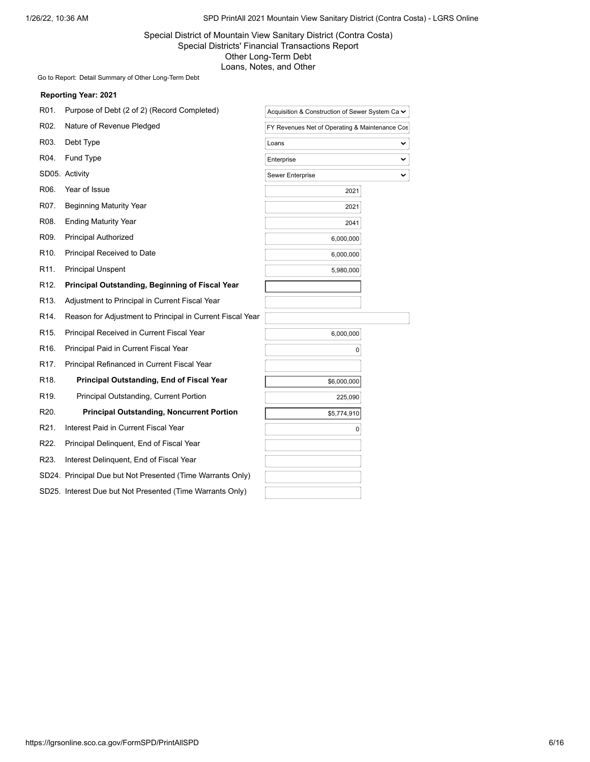# Special District of Mountain View Sanitary District (Contra Costa) Special Districts' Financial Transactions Report Other Long-Term Debt Loans, Notes, and Other

Go to Report: [Detail Summary of Other Long-Term Debt](https://lgrsonline.sco.ca.gov/FormSPD/OtherLongTermDebtDetailSummary)

| R01.              | Purpose of Debt (2 of 2) (Record Completed)                | Acquisition & Construction of Sewer System Ca ► |              |
|-------------------|------------------------------------------------------------|-------------------------------------------------|--------------|
| R02.              | Nature of Revenue Pledged                                  | FY Revenues Net of Operating & Maintenance Cos  |              |
| R03.              | Debt Type                                                  | Loans                                           | v            |
| R04.              | <b>Fund Type</b>                                           | Enterprise                                      | $\checkmark$ |
|                   | SD05. Activity                                             | Sewer Enterprise                                | ◡            |
| R06.              | Year of Issue                                              | 2021                                            |              |
| R07.              | <b>Beginning Maturity Year</b>                             | 2021                                            |              |
| R08.              | <b>Ending Maturity Year</b>                                | 2041                                            |              |
| R <sub>09</sub> . | <b>Principal Authorized</b>                                | 6,000,000                                       |              |
| R <sub>10</sub> . | Principal Received to Date                                 | 6,000,000                                       |              |
| R <sub>11</sub> . | <b>Principal Unspent</b>                                   | 5,980,000                                       |              |
| R <sub>12</sub> . | Principal Outstanding, Beginning of Fiscal Year            |                                                 |              |
| R <sub>13</sub> . | Adjustment to Principal in Current Fiscal Year             |                                                 |              |
| R <sub>14</sub> . | Reason for Adjustment to Principal in Current Fiscal Year  |                                                 |              |
| R <sub>15</sub> . | Principal Received in Current Fiscal Year                  | 6,000,000                                       |              |
| R <sub>16</sub> . | Principal Paid in Current Fiscal Year                      | 0                                               |              |
| R <sub>17</sub> . | Principal Refinanced in Current Fiscal Year                |                                                 |              |
| R <sub>18</sub>   | Principal Outstanding, End of Fiscal Year                  | \$6,000,000                                     |              |
| R <sub>19</sub> . | Principal Outstanding, Current Portion                     | 225,090                                         |              |
| R <sub>20</sub> . | <b>Principal Outstanding, Noncurrent Portion</b>           | \$5,774,910                                     |              |
| R <sub>21</sub> . | Interest Paid in Current Fiscal Year                       | 0                                               |              |
| R22.              | Principal Delinquent, End of Fiscal Year                   |                                                 |              |
| R23.              | Interest Delinquent, End of Fiscal Year                    |                                                 |              |
|                   | SD24. Principal Due but Not Presented (Time Warrants Only) |                                                 |              |
|                   | SD25. Interest Due but Not Presented (Time Warrants Only)  |                                                 |              |
|                   |                                                            |                                                 |              |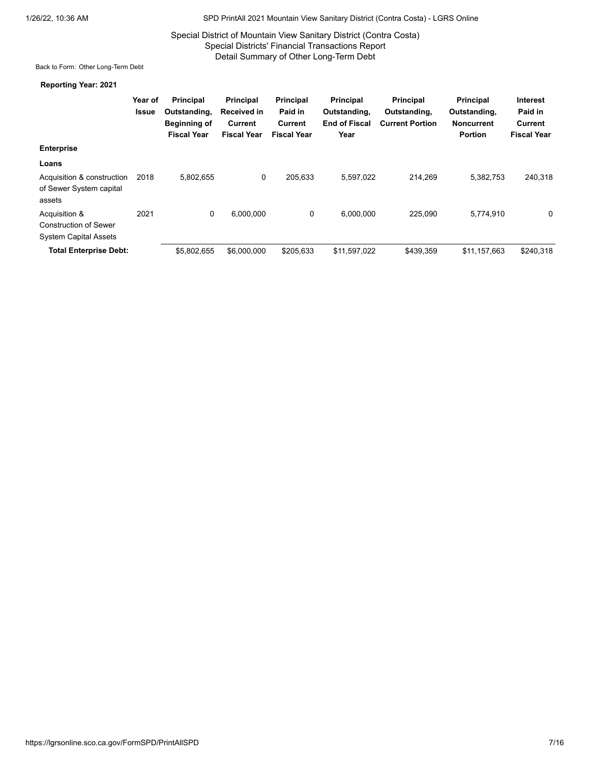# Special District of Mountain View Sanitary District (Contra Costa) Special Districts' Financial Transactions Report Detail Summary of Other Long-Term Debt

Back to Form: [Other Long-Term Debt](https://lgrsonline.sco.ca.gov/FormSPD/OtherLongTermDebt)

|                                                                               | Year of<br><b>Issue</b> | <b>Principal</b><br>Outstanding,<br>Beginning of<br><b>Fiscal Year</b> | Principal<br>Received in<br>Current<br><b>Fiscal Year</b> | <b>Principal</b><br>Paid in<br>Current<br><b>Fiscal Year</b> | <b>Principal</b><br>Outstanding,<br><b>End of Fiscal</b><br>Year | <b>Principal</b><br>Outstanding,<br><b>Current Portion</b> | Principal<br>Outstanding,<br><b>Noncurrent</b><br><b>Portion</b> | <b>Interest</b><br>Paid in<br>Current<br><b>Fiscal Year</b> |
|-------------------------------------------------------------------------------|-------------------------|------------------------------------------------------------------------|-----------------------------------------------------------|--------------------------------------------------------------|------------------------------------------------------------------|------------------------------------------------------------|------------------------------------------------------------------|-------------------------------------------------------------|
| <b>Enterprise</b>                                                             |                         |                                                                        |                                                           |                                                              |                                                                  |                                                            |                                                                  |                                                             |
| Loans                                                                         |                         |                                                                        |                                                           |                                                              |                                                                  |                                                            |                                                                  |                                                             |
| Acquisition & construction<br>of Sewer System capital<br>assets               | 2018                    | 5,802,655                                                              | 0                                                         | 205.633                                                      | 5,597,022                                                        | 214.269                                                    | 5,382,753                                                        | 240,318                                                     |
| Acquisition &<br><b>Construction of Sewer</b><br><b>System Capital Assets</b> | 2021                    | 0                                                                      | 6,000,000                                                 | 0                                                            | 6.000.000                                                        | 225.090                                                    | 5,774,910                                                        | $\mathbf 0$                                                 |
| <b>Total Enterprise Debt:</b>                                                 |                         | \$5,802,655                                                            | \$6,000,000                                               | \$205.633                                                    | \$11,597,022                                                     | \$439.359                                                  | \$11,157,663                                                     | \$240,318                                                   |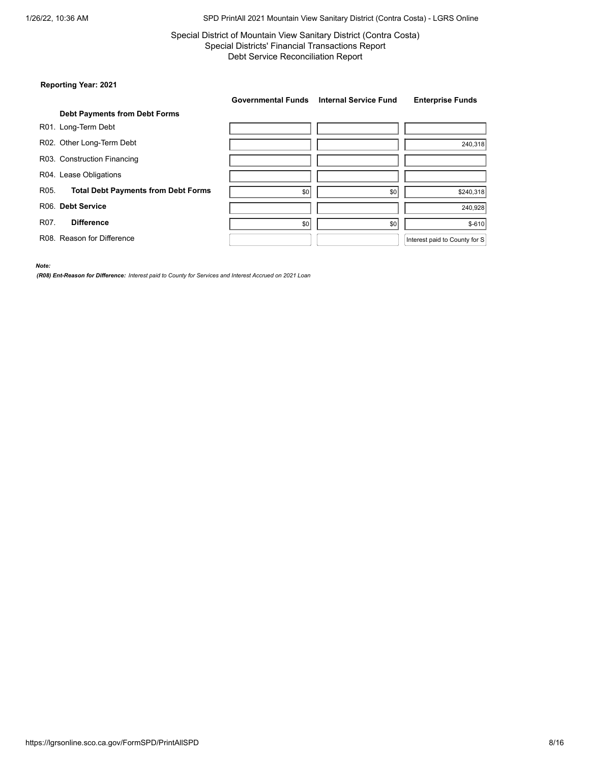# Special District of Mountain View Sanitary District (Contra Costa) Special Districts' Financial Transactions Report Debt Service Reconciliation Report

# **Reporting Year: 2021**

|                   |                                            | <b>Governmental Funds</b> | <b>Internal Service Fund</b> | <b>Enterprise Funds</b>       |
|-------------------|--------------------------------------------|---------------------------|------------------------------|-------------------------------|
|                   | <b>Debt Payments from Debt Forms</b>       |                           |                              |                               |
|                   | R01. Long-Term Debt                        |                           |                              |                               |
|                   | R02. Other Long-Term Debt                  |                           |                              | 240,318                       |
|                   | R03. Construction Financing                |                           |                              |                               |
|                   | R04. Lease Obligations                     |                           |                              |                               |
| R05.              | <b>Total Debt Payments from Debt Forms</b> | \$0                       | \$0                          | \$240,318                     |
|                   | R06. Debt Service                          |                           |                              | 240,928                       |
| R <sub>07</sub> . | <b>Difference</b>                          | \$0                       | \$0                          | $$-610$                       |
|                   | R08. Reason for Difference                 |                           |                              | Interest paid to County for S |

*Note:*

*(R08) Ent-Reason for Difference: Interest paid to County for Services and Interest Accrued on 2021 Loan*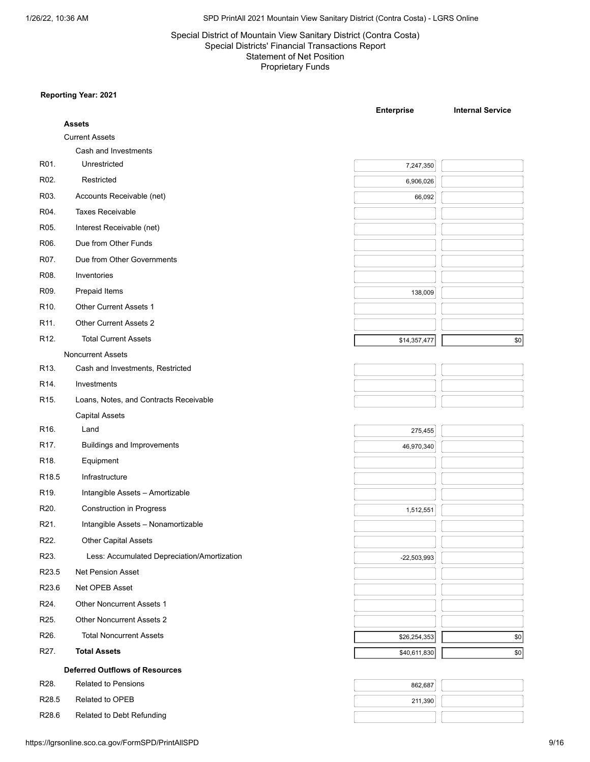# Special District of Mountain View Sanitary District (Contra Costa) Special Districts' Financial Transactions Report Statement of Net Position Proprietary Funds

| <b>Assets</b><br><b>Current Assets</b><br>Cash and Investments<br>R01.<br>Unrestricted<br>7,247,350<br>R02.<br>Restricted<br>6,906,026<br>R03.<br>Accounts Receivable (net)<br>66,092<br><b>Taxes Receivable</b><br>R04.<br>Interest Receivable (net)<br>R05.<br>Due from Other Funds<br>R06.<br>R07.<br>Due from Other Governments<br>R08.<br>Inventories<br>R09.<br>Prepaid Items<br>138,009<br>Other Current Assets 1<br>R <sub>10</sub> .<br>Other Current Assets 2<br>R11.<br>R <sub>12</sub> .<br><b>Total Current Assets</b><br>\$14,357,477<br>$ $ \$0<br><b>Noncurrent Assets</b><br>R <sub>13</sub> .<br>Cash and Investments, Restricted<br>Investments<br>R14.<br>Loans, Notes, and Contracts Receivable<br>R15.<br><b>Capital Assets</b><br>R16.<br>Land<br>275,455<br>R17.<br><b>Buildings and Improvements</b><br>46,970,340<br>R <sub>18</sub> .<br>Equipment<br>Infrastructure<br>R <sub>19</sub> .<br>Intangible Assets - Amortizable<br>R20.<br><b>Construction in Progress</b><br>1,512,551<br>R21.<br>Intangible Assets - Nonamortizable<br>R22.<br><b>Other Capital Assets</b><br>R23.<br>Less: Accumulated Depreciation/Amortization<br>$-22,503,993$<br>R23.5<br>Net Pension Asset<br>Net OPEB Asset<br>R23.6<br><b>Other Noncurrent Assets 1</b><br>R24.<br><b>Other Noncurrent Assets 2</b><br>R <sub>25</sub> .<br>R26.<br><b>Total Noncurrent Assets</b><br>\$26,254,353<br> 80 <br>R27.<br><b>Total Assets</b><br>\$40,611,830<br> 80 <br><b>Deferred Outflows of Resources</b><br>R28.<br><b>Related to Pensions</b><br>862,687<br>R <sub>28.5</sub><br>Related to OPEB<br>211,390 |                   |                           | <b>Enterprise</b> | <b>Internal Service</b> |
|------------------------------------------------------------------------------------------------------------------------------------------------------------------------------------------------------------------------------------------------------------------------------------------------------------------------------------------------------------------------------------------------------------------------------------------------------------------------------------------------------------------------------------------------------------------------------------------------------------------------------------------------------------------------------------------------------------------------------------------------------------------------------------------------------------------------------------------------------------------------------------------------------------------------------------------------------------------------------------------------------------------------------------------------------------------------------------------------------------------------------------------------------------------------------------------------------------------------------------------------------------------------------------------------------------------------------------------------------------------------------------------------------------------------------------------------------------------------------------------------------------------------------------------------------------------------------------------------------------------|-------------------|---------------------------|-------------------|-------------------------|
|                                                                                                                                                                                                                                                                                                                                                                                                                                                                                                                                                                                                                                                                                                                                                                                                                                                                                                                                                                                                                                                                                                                                                                                                                                                                                                                                                                                                                                                                                                                                                                                                                  |                   |                           |                   |                         |
|                                                                                                                                                                                                                                                                                                                                                                                                                                                                                                                                                                                                                                                                                                                                                                                                                                                                                                                                                                                                                                                                                                                                                                                                                                                                                                                                                                                                                                                                                                                                                                                                                  |                   |                           |                   |                         |
|                                                                                                                                                                                                                                                                                                                                                                                                                                                                                                                                                                                                                                                                                                                                                                                                                                                                                                                                                                                                                                                                                                                                                                                                                                                                                                                                                                                                                                                                                                                                                                                                                  |                   |                           |                   |                         |
|                                                                                                                                                                                                                                                                                                                                                                                                                                                                                                                                                                                                                                                                                                                                                                                                                                                                                                                                                                                                                                                                                                                                                                                                                                                                                                                                                                                                                                                                                                                                                                                                                  |                   |                           |                   |                         |
|                                                                                                                                                                                                                                                                                                                                                                                                                                                                                                                                                                                                                                                                                                                                                                                                                                                                                                                                                                                                                                                                                                                                                                                                                                                                                                                                                                                                                                                                                                                                                                                                                  |                   |                           |                   |                         |
|                                                                                                                                                                                                                                                                                                                                                                                                                                                                                                                                                                                                                                                                                                                                                                                                                                                                                                                                                                                                                                                                                                                                                                                                                                                                                                                                                                                                                                                                                                                                                                                                                  |                   |                           |                   |                         |
|                                                                                                                                                                                                                                                                                                                                                                                                                                                                                                                                                                                                                                                                                                                                                                                                                                                                                                                                                                                                                                                                                                                                                                                                                                                                                                                                                                                                                                                                                                                                                                                                                  |                   |                           |                   |                         |
|                                                                                                                                                                                                                                                                                                                                                                                                                                                                                                                                                                                                                                                                                                                                                                                                                                                                                                                                                                                                                                                                                                                                                                                                                                                                                                                                                                                                                                                                                                                                                                                                                  |                   |                           |                   |                         |
|                                                                                                                                                                                                                                                                                                                                                                                                                                                                                                                                                                                                                                                                                                                                                                                                                                                                                                                                                                                                                                                                                                                                                                                                                                                                                                                                                                                                                                                                                                                                                                                                                  |                   |                           |                   |                         |
|                                                                                                                                                                                                                                                                                                                                                                                                                                                                                                                                                                                                                                                                                                                                                                                                                                                                                                                                                                                                                                                                                                                                                                                                                                                                                                                                                                                                                                                                                                                                                                                                                  |                   |                           |                   |                         |
|                                                                                                                                                                                                                                                                                                                                                                                                                                                                                                                                                                                                                                                                                                                                                                                                                                                                                                                                                                                                                                                                                                                                                                                                                                                                                                                                                                                                                                                                                                                                                                                                                  |                   |                           |                   |                         |
|                                                                                                                                                                                                                                                                                                                                                                                                                                                                                                                                                                                                                                                                                                                                                                                                                                                                                                                                                                                                                                                                                                                                                                                                                                                                                                                                                                                                                                                                                                                                                                                                                  |                   |                           |                   |                         |
|                                                                                                                                                                                                                                                                                                                                                                                                                                                                                                                                                                                                                                                                                                                                                                                                                                                                                                                                                                                                                                                                                                                                                                                                                                                                                                                                                                                                                                                                                                                                                                                                                  |                   |                           |                   |                         |
|                                                                                                                                                                                                                                                                                                                                                                                                                                                                                                                                                                                                                                                                                                                                                                                                                                                                                                                                                                                                                                                                                                                                                                                                                                                                                                                                                                                                                                                                                                                                                                                                                  |                   |                           |                   |                         |
|                                                                                                                                                                                                                                                                                                                                                                                                                                                                                                                                                                                                                                                                                                                                                                                                                                                                                                                                                                                                                                                                                                                                                                                                                                                                                                                                                                                                                                                                                                                                                                                                                  |                   |                           |                   |                         |
|                                                                                                                                                                                                                                                                                                                                                                                                                                                                                                                                                                                                                                                                                                                                                                                                                                                                                                                                                                                                                                                                                                                                                                                                                                                                                                                                                                                                                                                                                                                                                                                                                  |                   |                           |                   |                         |
|                                                                                                                                                                                                                                                                                                                                                                                                                                                                                                                                                                                                                                                                                                                                                                                                                                                                                                                                                                                                                                                                                                                                                                                                                                                                                                                                                                                                                                                                                                                                                                                                                  |                   |                           |                   |                         |
|                                                                                                                                                                                                                                                                                                                                                                                                                                                                                                                                                                                                                                                                                                                                                                                                                                                                                                                                                                                                                                                                                                                                                                                                                                                                                                                                                                                                                                                                                                                                                                                                                  |                   |                           |                   |                         |
|                                                                                                                                                                                                                                                                                                                                                                                                                                                                                                                                                                                                                                                                                                                                                                                                                                                                                                                                                                                                                                                                                                                                                                                                                                                                                                                                                                                                                                                                                                                                                                                                                  |                   |                           |                   |                         |
|                                                                                                                                                                                                                                                                                                                                                                                                                                                                                                                                                                                                                                                                                                                                                                                                                                                                                                                                                                                                                                                                                                                                                                                                                                                                                                                                                                                                                                                                                                                                                                                                                  |                   |                           |                   |                         |
|                                                                                                                                                                                                                                                                                                                                                                                                                                                                                                                                                                                                                                                                                                                                                                                                                                                                                                                                                                                                                                                                                                                                                                                                                                                                                                                                                                                                                                                                                                                                                                                                                  |                   |                           |                   |                         |
|                                                                                                                                                                                                                                                                                                                                                                                                                                                                                                                                                                                                                                                                                                                                                                                                                                                                                                                                                                                                                                                                                                                                                                                                                                                                                                                                                                                                                                                                                                                                                                                                                  |                   |                           |                   |                         |
|                                                                                                                                                                                                                                                                                                                                                                                                                                                                                                                                                                                                                                                                                                                                                                                                                                                                                                                                                                                                                                                                                                                                                                                                                                                                                                                                                                                                                                                                                                                                                                                                                  |                   |                           |                   |                         |
|                                                                                                                                                                                                                                                                                                                                                                                                                                                                                                                                                                                                                                                                                                                                                                                                                                                                                                                                                                                                                                                                                                                                                                                                                                                                                                                                                                                                                                                                                                                                                                                                                  | R <sub>18.5</sub> |                           |                   |                         |
|                                                                                                                                                                                                                                                                                                                                                                                                                                                                                                                                                                                                                                                                                                                                                                                                                                                                                                                                                                                                                                                                                                                                                                                                                                                                                                                                                                                                                                                                                                                                                                                                                  |                   |                           |                   |                         |
|                                                                                                                                                                                                                                                                                                                                                                                                                                                                                                                                                                                                                                                                                                                                                                                                                                                                                                                                                                                                                                                                                                                                                                                                                                                                                                                                                                                                                                                                                                                                                                                                                  |                   |                           |                   |                         |
|                                                                                                                                                                                                                                                                                                                                                                                                                                                                                                                                                                                                                                                                                                                                                                                                                                                                                                                                                                                                                                                                                                                                                                                                                                                                                                                                                                                                                                                                                                                                                                                                                  |                   |                           |                   |                         |
|                                                                                                                                                                                                                                                                                                                                                                                                                                                                                                                                                                                                                                                                                                                                                                                                                                                                                                                                                                                                                                                                                                                                                                                                                                                                                                                                                                                                                                                                                                                                                                                                                  |                   |                           |                   |                         |
|                                                                                                                                                                                                                                                                                                                                                                                                                                                                                                                                                                                                                                                                                                                                                                                                                                                                                                                                                                                                                                                                                                                                                                                                                                                                                                                                                                                                                                                                                                                                                                                                                  |                   |                           |                   |                         |
|                                                                                                                                                                                                                                                                                                                                                                                                                                                                                                                                                                                                                                                                                                                                                                                                                                                                                                                                                                                                                                                                                                                                                                                                                                                                                                                                                                                                                                                                                                                                                                                                                  |                   |                           |                   |                         |
|                                                                                                                                                                                                                                                                                                                                                                                                                                                                                                                                                                                                                                                                                                                                                                                                                                                                                                                                                                                                                                                                                                                                                                                                                                                                                                                                                                                                                                                                                                                                                                                                                  |                   |                           |                   |                         |
|                                                                                                                                                                                                                                                                                                                                                                                                                                                                                                                                                                                                                                                                                                                                                                                                                                                                                                                                                                                                                                                                                                                                                                                                                                                                                                                                                                                                                                                                                                                                                                                                                  |                   |                           |                   |                         |
|                                                                                                                                                                                                                                                                                                                                                                                                                                                                                                                                                                                                                                                                                                                                                                                                                                                                                                                                                                                                                                                                                                                                                                                                                                                                                                                                                                                                                                                                                                                                                                                                                  |                   |                           |                   |                         |
|                                                                                                                                                                                                                                                                                                                                                                                                                                                                                                                                                                                                                                                                                                                                                                                                                                                                                                                                                                                                                                                                                                                                                                                                                                                                                                                                                                                                                                                                                                                                                                                                                  |                   |                           |                   |                         |
|                                                                                                                                                                                                                                                                                                                                                                                                                                                                                                                                                                                                                                                                                                                                                                                                                                                                                                                                                                                                                                                                                                                                                                                                                                                                                                                                                                                                                                                                                                                                                                                                                  |                   |                           |                   |                         |
|                                                                                                                                                                                                                                                                                                                                                                                                                                                                                                                                                                                                                                                                                                                                                                                                                                                                                                                                                                                                                                                                                                                                                                                                                                                                                                                                                                                                                                                                                                                                                                                                                  |                   |                           |                   |                         |
|                                                                                                                                                                                                                                                                                                                                                                                                                                                                                                                                                                                                                                                                                                                                                                                                                                                                                                                                                                                                                                                                                                                                                                                                                                                                                                                                                                                                                                                                                                                                                                                                                  |                   |                           |                   |                         |
|                                                                                                                                                                                                                                                                                                                                                                                                                                                                                                                                                                                                                                                                                                                                                                                                                                                                                                                                                                                                                                                                                                                                                                                                                                                                                                                                                                                                                                                                                                                                                                                                                  |                   |                           |                   |                         |
|                                                                                                                                                                                                                                                                                                                                                                                                                                                                                                                                                                                                                                                                                                                                                                                                                                                                                                                                                                                                                                                                                                                                                                                                                                                                                                                                                                                                                                                                                                                                                                                                                  | R28.6             | Related to Debt Refunding |                   |                         |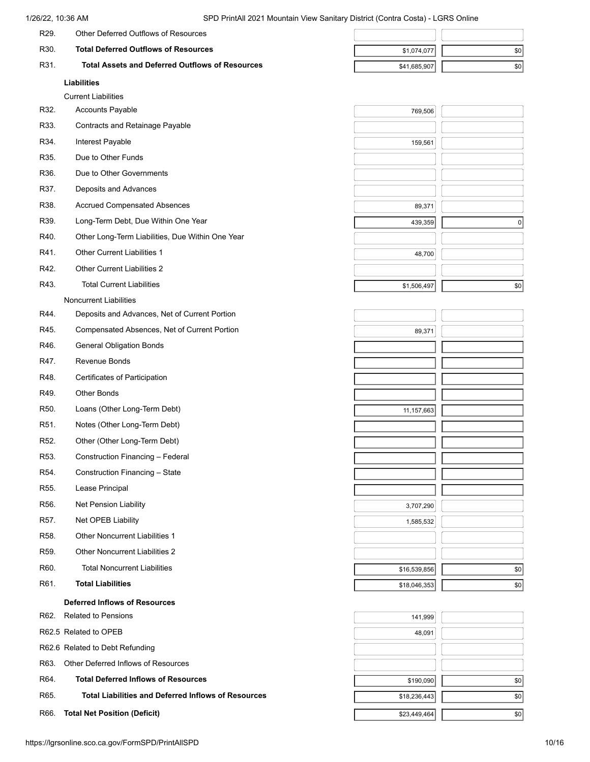|                   | Liabilities                                            |              |     |
|-------------------|--------------------------------------------------------|--------------|-----|
| R31.              | <b>Total Assets and Deferred Outflows of Resources</b> | \$41,685,907 | \$0 |
| R <sub>30</sub> . | <b>Total Deferred Outflows of Resources</b>            | \$1,074,077  | \$0 |
| R <sub>29</sub>   | Other Deferred Outflows of Resources                   |              |     |

Current Liabilities

| R32.       | <b>Accounts Payable</b> |  |
|------------|-------------------------|--|
| $-\hat{z}$ | $\cdot$ $\sim$ $\cdot$  |  |

- R33. Contracts and Retainage Payable
- R34. Interest Payable
- R35. Due to Other Funds
- R36. Due to Other Governments
- R37. Deposits and Advances
- R38. Accrued Compensated Absences
- 
- R33. Contracts and Retainage Payable<br>
R34. Interest Payable<br>
R35. Due to Other Funds<br>
R36. Due to Other Governments<br>
R37. Deposits and Advances<br>
R38. Accrued Compensated Absences<br>
R39. Long-Term Debt, Due Within One Year<br> R40. Other Long-Term Liabilities, Due Within One Year
- R41. Other Current Liabilities 1
- R42. Other Current Liabilities 2
- R43. Total Current Liabilities
	- Noncurrent Liabilities
- R44. Deposits and Advances, Net of Current Portion
- R45. Compensated Absences, Net of Current Portion
- R46. General Obligation Bonds
- R47. Revenue Bonds
- R48. Certificates of Participation
- R49. Other Bonds
- R50. Loans (Other Long-Term Debt)
- R51. Notes (Other Long-Term Debt)
- R52. Other (Other Long-Term Debt)
- R53. Construction Financing Federal
- R54. Construction Financing State
- R55. Lease Principal
- R56. Net Pension Liability
- R57. Net OPEB Liability
- R58. Other Noncurrent Liabilities 1
- R59. Other Noncurrent Liabilities 2
- R60. Total Noncurrent Liabilities
- R61. **Total Liabilities**

# **Deferred Inflows of Resources**

- R62. Related to Pensions
- R62.5 Related to OPEB
- R62.6 Related to Debt Refunding
- R63. Other Deferred Inflows of Resources
- R64. **Total Deferred Inflows of Resources**
- R65. **Total Liabilities and Deferred Inflows of Resources**
- R66. **Total Net Position (Deficit)**

| 159,561     |     |
|-------------|-----|
|             |     |
|             |     |
|             |     |
|             |     |
| 89,371      |     |
| 439,359     | 0   |
|             |     |
|             |     |
| 48,700      |     |
|             |     |
| \$1,506,497 | \$0 |
|             |     |

769,506

| 89,371       |     |
|--------------|-----|
|              |     |
|              |     |
|              |     |
|              |     |
| 11, 157, 663 |     |
|              |     |
|              |     |
|              |     |
|              |     |
|              |     |
| 3,707,290    |     |
| 1,585,532    |     |
|              |     |
|              |     |
| \$16,539,856 | \$0 |
| \$18,046,353 | \$0 |

| 141,999      |     |
|--------------|-----|
| 48,091       |     |
|              |     |
|              |     |
| \$190,090    | \$0 |
| \$18,236,443 | \$0 |
| \$23,449,464 | \$0 |
|              |     |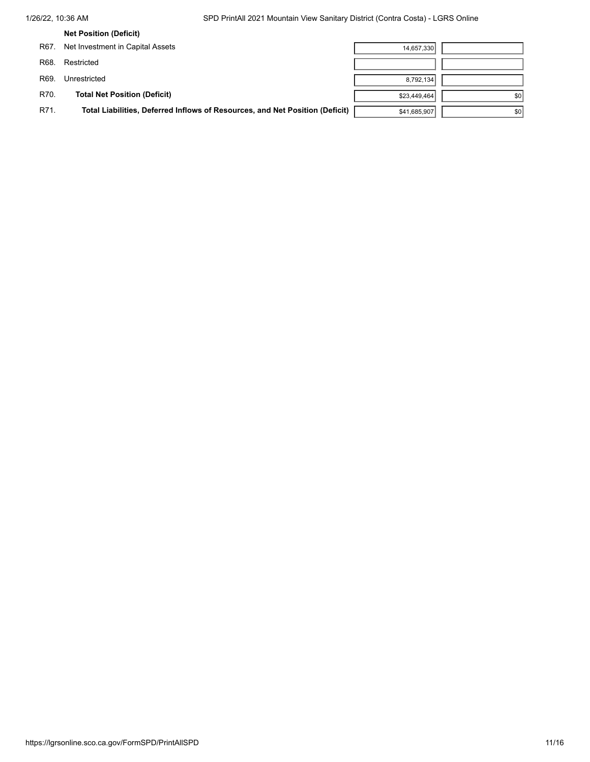|      | <b>Net Position (Deficit)</b>                                                |              |     |
|------|------------------------------------------------------------------------------|--------------|-----|
| R67. | Net Investment in Capital Assets                                             | 14,657,330   |     |
| R68. | Restricted                                                                   |              |     |
| R69. | Unrestricted                                                                 | 8,792,134    |     |
| R70. | <b>Total Net Position (Deficit)</b>                                          | \$23,449,464 | \$0 |
| R71. | Total Liabilities, Deferred Inflows of Resources, and Net Position (Deficit) | \$41,685,907 | \$0 |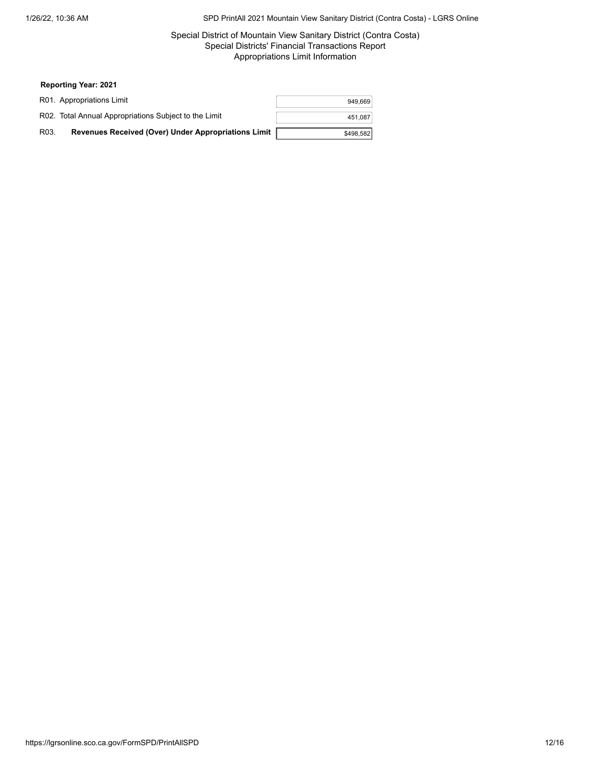# Special District of Mountain View Sanitary District (Contra Costa) Special Districts' Financial Transactions Report Appropriations Limit Information

|      | R01. Appropriations Limit                             | 949,669   |
|------|-------------------------------------------------------|-----------|
|      | R02. Total Annual Appropriations Subject to the Limit | 451,087   |
| R03. | Revenues Received (Over) Under Appropriations Limit   | \$498,582 |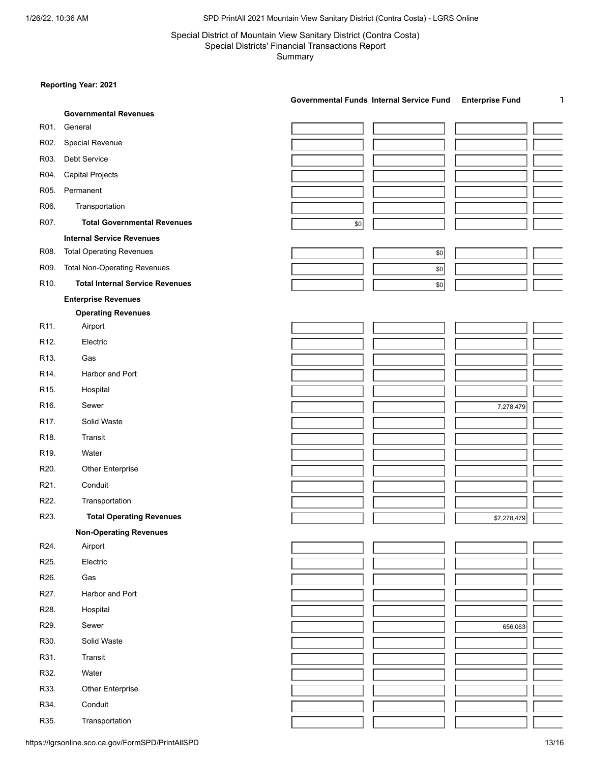# Special District of Mountain View Sanitary District (Contra Costa) Special Districts' Financial Transactions Report Summary

# **Reporting Year: 2021**

|                   |                                        | Governmental Funds Internal Service Fund<br><b>Enterprise Fund</b><br>L, |
|-------------------|----------------------------------------|--------------------------------------------------------------------------|
|                   | <b>Governmental Revenues</b>           |                                                                          |
| R01.              | General                                |                                                                          |
| R02.              | Special Revenue                        |                                                                          |
| R03.              | Debt Service                           |                                                                          |
| R04.              | <b>Capital Projects</b>                |                                                                          |
| R05.              | Permanent                              |                                                                          |
| R06.              | Transportation                         |                                                                          |
| R07.              | <b>Total Governmental Revenues</b>     | \$0                                                                      |
|                   | <b>Internal Service Revenues</b>       |                                                                          |
| R08.              | <b>Total Operating Revenues</b>        | $$0$$                                                                    |
| R09.              | <b>Total Non-Operating Revenues</b>    | \$0                                                                      |
| R <sub>10</sub> . | <b>Total Internal Service Revenues</b> | \$0                                                                      |
|                   | <b>Enterprise Revenues</b>             |                                                                          |
|                   | <b>Operating Revenues</b>              |                                                                          |
| R <sub>11</sub> . | Airport                                |                                                                          |
| R <sub>12</sub> . | Electric                               |                                                                          |
| R <sub>13</sub> . | Gas                                    |                                                                          |
| R <sub>14</sub>   | Harbor and Port                        |                                                                          |
| R <sub>15</sub> . | Hospital                               |                                                                          |
| R <sub>16</sub> . | Sewer                                  | 7,278,479                                                                |
| R17.              | Solid Waste                            |                                                                          |
| R <sub>18</sub> . | Transit                                |                                                                          |
| R <sub>19</sub>   | Water                                  |                                                                          |
| R20.              | <b>Other Enterprise</b>                |                                                                          |
| R21.              | Conduit                                |                                                                          |
| R22.              | Transportation                         |                                                                          |
| R23.              | <b>Total Operating Revenues</b>        | \$7,278,479                                                              |
|                   | <b>Non-Operating Revenues</b>          |                                                                          |
| R24.              | Airport                                |                                                                          |
| R25.              | Electric                               |                                                                          |
| R26.              | Gas                                    |                                                                          |
| R27.              | Harbor and Port                        |                                                                          |
| R28.              | Hospital                               |                                                                          |
| R29.              | Sewer                                  | 656,063                                                                  |
| R30.              | Solid Waste                            |                                                                          |
| R31.              | Transit                                |                                                                          |
| R32.              | Water                                  |                                                                          |
| R33.              | Other Enterprise                       |                                                                          |
| R34.              | Conduit                                |                                                                          |
| R35.              | Transportation                         |                                                                          |

https://lgrsonline.sco.ca.gov/FormSPD/PrintAllSPD 13/16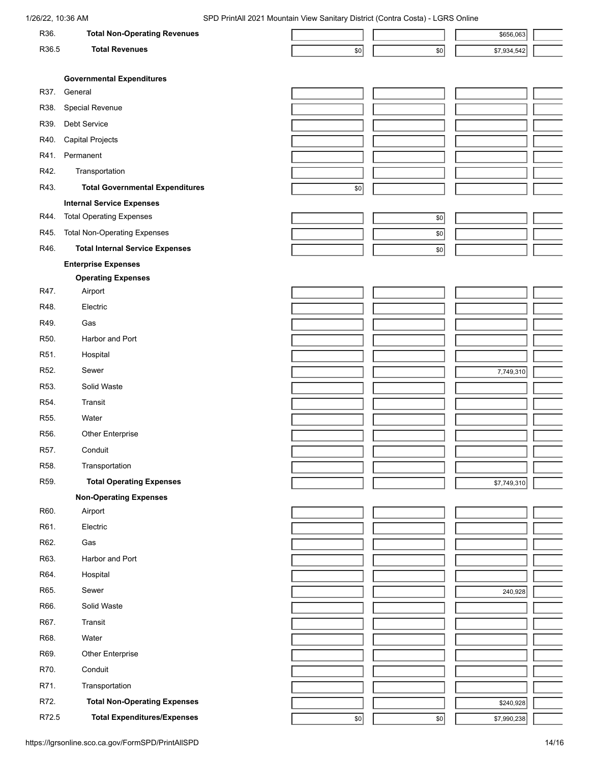| R36.              | <b>Total Non-Operating Revenues</b>    |     |     | \$656,063   |  |
|-------------------|----------------------------------------|-----|-----|-------------|--|
| R36.5             | <b>Total Revenues</b>                  | \$0 | 50  | \$7,934,542 |  |
|                   |                                        |     |     |             |  |
|                   | <b>Governmental Expenditures</b>       |     |     |             |  |
| R37.              | General                                |     |     |             |  |
| R38.              | Special Revenue                        |     |     |             |  |
| R39.              | Debt Service                           |     |     |             |  |
| R40.              | <b>Capital Projects</b>                |     |     |             |  |
| R41.              | Permanent                              |     |     |             |  |
| R42.              | Transportation                         |     |     |             |  |
| R43.              | <b>Total Governmental Expenditures</b> | \$0 |     |             |  |
|                   | <b>Internal Service Expenses</b>       |     |     |             |  |
| R44.              | <b>Total Operating Expenses</b>        |     | \$0 |             |  |
| R45.              | <b>Total Non-Operating Expenses</b>    |     | \$0 |             |  |
| R46.              | <b>Total Internal Service Expenses</b> |     |     |             |  |
|                   | <b>Enterprise Expenses</b>             |     | \$0 |             |  |
|                   | <b>Operating Expenses</b>              |     |     |             |  |
| R47.              | Airport                                |     |     |             |  |
| R48.              | Electric                               |     |     |             |  |
| R49.              | Gas                                    |     |     |             |  |
|                   |                                        |     |     |             |  |
| R50.              | Harbor and Port                        |     |     |             |  |
| R51.              | Hospital                               |     |     |             |  |
| R <sub>52</sub> . | Sewer                                  |     |     | 7,749,310   |  |
| R53.              | Solid Waste                            |     |     |             |  |
| R54.              | <b>Transit</b>                         |     |     |             |  |
| R55.              | Water                                  |     |     |             |  |
| R56.              | <b>Other Enterprise</b>                |     |     |             |  |
| R57.              | Conduit                                |     |     |             |  |
| R58.              | Transportation                         |     |     |             |  |
| R59.              | <b>Total Operating Expenses</b>        |     |     | \$7,749,310 |  |
|                   | <b>Non-Operating Expenses</b>          |     |     |             |  |
| R60.              | Airport                                |     |     |             |  |
| R61.              | Electric                               |     |     |             |  |
| R62.              | Gas                                    |     |     |             |  |
| R63.              | Harbor and Port                        |     |     |             |  |
| R64.              | Hospital                               |     |     |             |  |
| R65.              | Sewer                                  |     |     | 240,928     |  |
| R66.              | Solid Waste                            |     |     |             |  |
| R67.              | Transit                                |     |     |             |  |
|                   |                                        |     |     |             |  |
| R68.              | Water                                  |     |     |             |  |
| R69.              | <b>Other Enterprise</b>                |     |     |             |  |
| R70.              | Conduit                                |     |     |             |  |
| R71.              | Transportation                         |     |     |             |  |
| R72.              | <b>Total Non-Operating Expenses</b>    |     |     | \$240,928   |  |
| R72.5             | <b>Total Expenditures/Expenses</b>     | 50  | \$0 | \$7,990,238 |  |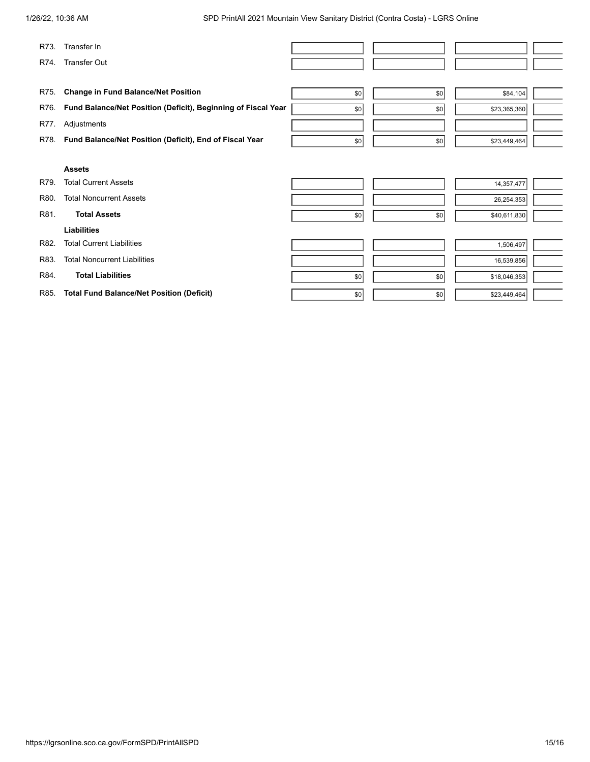| R73. | Transfer In                                                   |     |     |              |  |
|------|---------------------------------------------------------------|-----|-----|--------------|--|
| R74. | <b>Transfer Out</b>                                           |     |     |              |  |
|      |                                                               |     |     |              |  |
| R75. | <b>Change in Fund Balance/Net Position</b>                    | \$0 | \$0 | \$84,104     |  |
| R76. | Fund Balance/Net Position (Deficit), Beginning of Fiscal Year | \$0 | \$0 | \$23,365,360 |  |
| R77. | Adjustments                                                   |     |     |              |  |
| R78. | Fund Balance/Net Position (Deficit), End of Fiscal Year       | \$0 | \$0 | \$23,449,464 |  |
|      |                                                               |     |     |              |  |
|      | <b>Assets</b>                                                 |     |     |              |  |
| R79. | <b>Total Current Assets</b>                                   |     |     | 14,357,477   |  |
| R80. | <b>Total Noncurrent Assets</b>                                |     |     | 26,254,353   |  |
| R81. | <b>Total Assets</b>                                           | \$0 | \$0 | \$40,611,830 |  |
|      | <b>Liabilities</b>                                            |     |     |              |  |
| R82. | <b>Total Current Liabilities</b>                              |     |     | 1,506,497    |  |
| R83. | <b>Total Noncurrent Liabilities</b>                           |     |     | 16,539,856   |  |
| R84. | <b>Total Liabilities</b>                                      | \$0 | \$0 | \$18,046,353 |  |
| R85. | <b>Total Fund Balance/Net Position (Deficit)</b>              | \$0 | \$0 | \$23,449,464 |  |